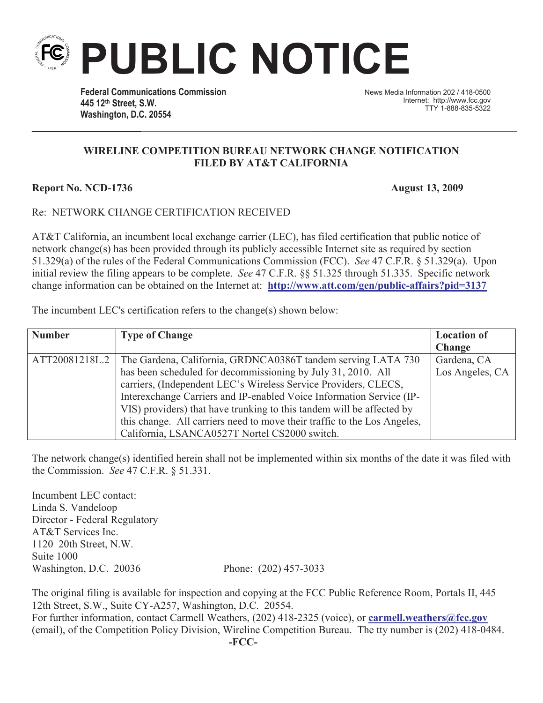**Federal Communications Commission 445 12th Street, S.W. Washington, D.C. 20554**

News Media Information 202 / 418-0500 Internet: http://www.fcc.gov TTY 1-888-835-5322

## **WIRELINE COMPETITION BUREAU NETWORK CHANGE NOTIFICATION FILED BY AT&T CALIFORNIA**

**PUBLIC NOTICE**

## **Report No. NCD-1736 August 13, 2009**

## Re: NETWORK CHANGE CERTIFICATION RECEIVED

AT&T California, an incumbent local exchange carrier (LEC), has filed certification that public notice of network change(s) has been provided through its publicly accessible Internet site as required by section 51.329(a) of the rules of the Federal Communications Commission (FCC). *See* 47 C.F.R. § 51.329(a). Upon initial review the filing appears to be complete. *See* 47 C.F.R. §§ 51.325 through 51.335. Specific network change information can be obtained on the Internet at: **http://www.att.com/gen/public-affairs?pid=3137**

The incumbent LEC's certification refers to the change(s) shown below:

| <b>Number</b>  | <b>Type of Change</b>                                                    | <b>Location of</b> |
|----------------|--------------------------------------------------------------------------|--------------------|
|                |                                                                          | <b>Change</b>      |
| ATT20081218L.2 | The Gardena, California, GRDNCA0386T tandem serving LATA 730             | Gardena, CA        |
|                | has been scheduled for decommissioning by July 31, 2010. All             | Los Angeles, CA    |
|                | carriers, (Independent LEC's Wireless Service Providers, CLECS,          |                    |
|                | Interexchange Carriers and IP-enabled Voice Information Service (IP-     |                    |
|                | VIS) providers) that have trunking to this tandem will be affected by    |                    |
|                | this change. All carriers need to move their traffic to the Los Angeles, |                    |
|                | California, LSANCA0527T Nortel CS2000 switch.                            |                    |

The network change(s) identified herein shall not be implemented within six months of the date it was filed with the Commission. *See* 47 C.F.R. § 51.331.

Incumbent LEC contact: Linda S. Vandeloop Director - Federal Regulatory AT&T Services Inc. 1120 20th Street, N.W. Suite 1000 Washington, D.C. 20036 Phone: (202) 457-3033

The original filing is available for inspection and copying at the FCC Public Reference Room, Portals II, 445 12th Street, S.W., Suite CY-A257, Washington, D.C. 20554. For further information, contact Carmell Weathers, (202) 418-2325 (voice), or **carmell.weathers@fcc.gov** (email), of the Competition Policy Division, Wireline Competition Bureau. The tty number is (202) 418-0484.